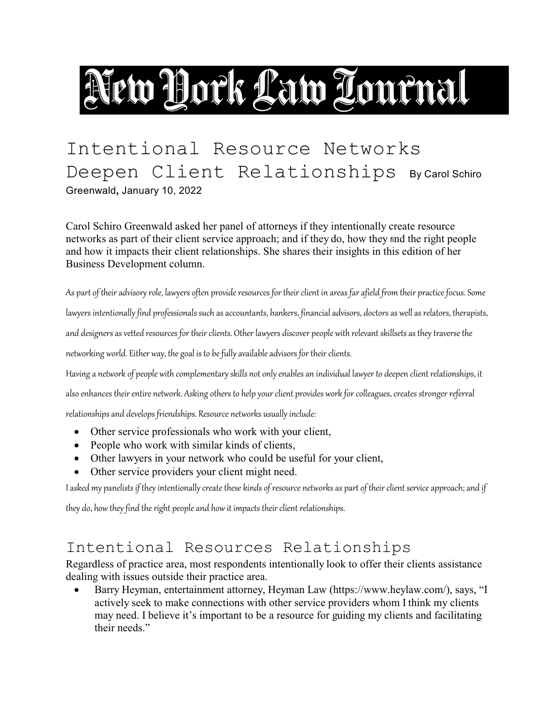# New York Law Tournal

## Intentional Resource Networks Deepen Client Relationships By Carol Schiro Greenwald**,** January 10, 2022

Carol Schiro Greenwald asked her panel of attorneys if they intentionally create resource networks as part of their client service approach; and if they do, how they find the right people and how it impacts their client relationships. She shares their insights in this edition of her Business Development column.

As part of their advisory role, lawyers often provide resources for their client in areas far afield from their practice focus. Some

lawyers intentionally find professionals such as accountants, bankers, financial advisors, doctors as well as relators, therapists,

and designers as vetted resources for their clients. Other lawyers discover people with relevant skillsets as they traverse the

networking world. Either way, the goal is tobe fully available advisors for their clients.

Having a network of people with complementary skills not only enables an individual lawyer to deepen client relationships, it

alsoenhances their entire network. Asking others to help your client provides work for colleagues, creates stronger referral

relationships and develops friendships. Resource networks usually include:

- Other service professionals who work with your client,
- People who work with similar kinds of clients,
- Other lawyers in your network who could be useful for your client,
- Other service providers your client might need.

I asked my panelists if they intentionally create these kinds of resource networks as part of their client service approach; and if

they do, how they find the right people and how it impacts their client relationships.

#### Intentional Resources Relationships

Regardless of practice area, most respondents intentionally look to offer their clients assistance dealing with issues outside their practice area.

Barry Heyman, entertainment attorney, Heyman Law (https://www.heylaw.com/), says, "I actively seek to make connections with other service providers whom I think my clients may need. I believe it's important to be a resource for guiding my clients and facilitating their needs."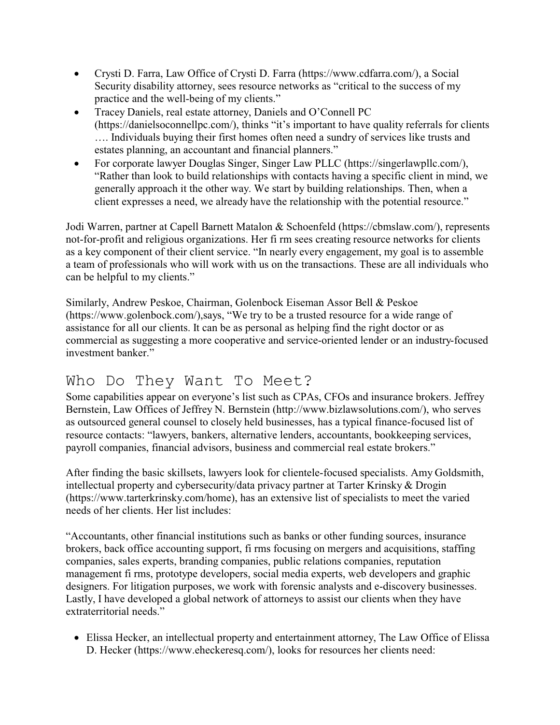- · Crysti D. Farra, Law Office of Crysti D. Farra (https://www.cdfarra.com/), a Social Security disability attorney, sees resource networks as "critical to the success of my practice and the well-being of my clients."
- · Tracey Daniels, real estate attorney, Daniels and O'Connell PC (https://danielsoconnellpc.com/), thinks "it's important to have quality referrals for clients …. Individuals buying their first homes often need a sundry of services like trusts and estates planning, an accountant and financial planners."
- For corporate lawyer Douglas Singer, Singer Law PLLC (https://singerlawpllc.com/), "Rather than look to build relationships with contacts having a specific client in mind, we generally approach it the other way. We start by building relationships. Then, when a client expresses a need, we already have the relationship with the potential resource."

Jodi Warren, partner at Capell Barnett Matalon & Schoenfeld (https://cbmslaw.com/), represents not-for-profit and religious organizations. Her fi rm sees creating resource networks for clients as a key component of their client service. "In nearly every engagement, my goal is to assemble a team of professionals who will work with us on the transactions. These are all individuals who can be helpful to my clients."

Similarly, Andrew Peskoe, Chairman, Golenbock Eiseman Assor Bell & Peskoe (https://www.golenbock.com/),says, "We try to be a trusted resource for a wide range of assistance for all our clients. It can be as personal as helping find the right doctor or as commercial as suggesting a more cooperative and service-oriented lender or an industry-focused investment banker."

#### Who Do They Want To Meet?

Some capabilities appear on everyone's list such as CPAs, CFOs and insurance brokers. Jeffrey Bernstein, Law Offices of Jeffrey N. Bernstein (http://www.bizlawsolutions.com/), who serves as outsourced general counsel to closely held businesses, has a typical finance-focused list of resource contacts: "lawyers, bankers, alternative lenders, accountants, bookkeeping services, payroll companies, financial advisors, business and commercial real estate brokers."

After finding the basic skillsets, lawyers look for clientele-focused specialists. Amy Goldsmith, intellectual property and cybersecurity/data privacy partner at Tarter Krinsky & Drogin (https://www.tarterkrinsky.com/home), has an extensive list of specialists to meet the varied needs of her clients. Her list includes:

"Accountants, other financial institutions such as banks or other funding sources, insurance brokers, back office accounting support, fi rms focusing on mergers and acquisitions, staffing companies, sales experts, branding companies, public relations companies, reputation management fi rms, prototype developers, social media experts, web developers and graphic designers. For litigation purposes, we work with forensic analysts and e-discovery businesses. Lastly, I have developed a global network of attorneys to assist our clients when they have extraterritorial needs."

· Elissa Hecker, an intellectual property and entertainment attorney, The Law Office of Elissa D. Hecker (https://www.eheckeresq.com/), looks for resources her clients need: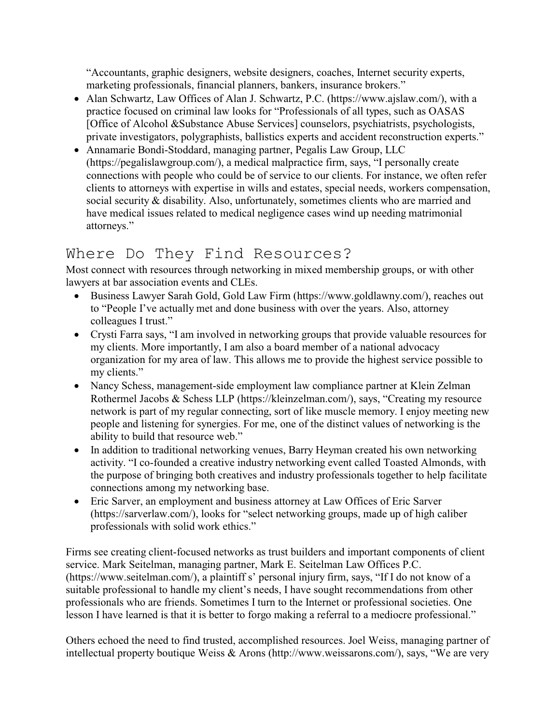"Accountants, graphic designers, website designers, coaches, Internet security experts, marketing professionals, financial planners, bankers, insurance brokers."

- Alan Schwartz, Law Offices of Alan J. Schwartz, P.C. (https://www.ajslaw.com/), with a practice focused on criminal law looks for "Professionals of all types, such as OASAS [Office of Alcohol &Substance Abuse Services] counselors, psychiatrists, psychologists, private investigators, polygraphists, ballistics experts and accident reconstruction experts."
- · Annamarie Bondi-Stoddard, managing partner, Pegalis Law Group, LLC (https://pegalislawgroup.com/), a medical malpractice firm, says, "I personally create connections with people who could be of service to our clients. For instance, we often refer clients to attorneys with expertise in wills and estates, special needs, workers compensation, social security & disability. Also, unfortunately, sometimes clients who are married and have medical issues related to medical negligence cases wind up needing matrimonial attorneys."

#### Where Do They Find Resources?

Most connect with resources through networking in mixed membership groups, or with other lawyers at bar association events and CLEs.

- · Business Lawyer Sarah Gold, Gold Law Firm (https://www.goldlawny.com/), reaches out to "People I've actually met and done business with over the years. Also, attorney colleagues I trust."
- · Crysti Farra says, "I am involved in networking groups that provide valuable resources for my clients. More importantly, I am also a board member of a national advocacy organization for my area of law. This allows me to provide the highest service possible to my clients."
- · Nancy Schess, management-side employment law compliance partner at Klein Zelman Rothermel Jacobs & Schess LLP (https://kleinzelman.com/), says, "Creating my resource network is part of my regular connecting, sort of like muscle memory. I enjoy meeting new people and listening for synergies. For me, one of the distinct values of networking is the ability to build that resource web."
- In addition to traditional networking venues, Barry Heyman created his own networking activity. "I co-founded a creative industry networking event called Toasted Almonds, with the purpose of bringing both creatives and industry professionals together to help facilitate connections among my networking base.
- · Eric Sarver, an employment and business attorney at Law Offices of Eric Sarver (https://sarverlaw.com/), looks for "select networking groups, made up of high caliber professionals with solid work ethics."

Firms see creating client-focused networks as trust builders and important components of client service. Mark Seitelman, managing partner, Mark E. Seitelman Law Offices P.C. (https://www.seitelman.com/), a plaintiff s' personal injury firm, says, "If I do not know of a suitable professional to handle my client's needs, I have sought recommendations from other professionals who are friends. Sometimes I turn to the Internet or professional societies. One lesson I have learned is that it is better to forgo making a referral to a mediocre professional."

Others echoed the need to find trusted, accomplished resources. Joel Weiss, managing partner of intellectual property boutique Weiss & Arons (http://www.weissarons.com/), says, "We are very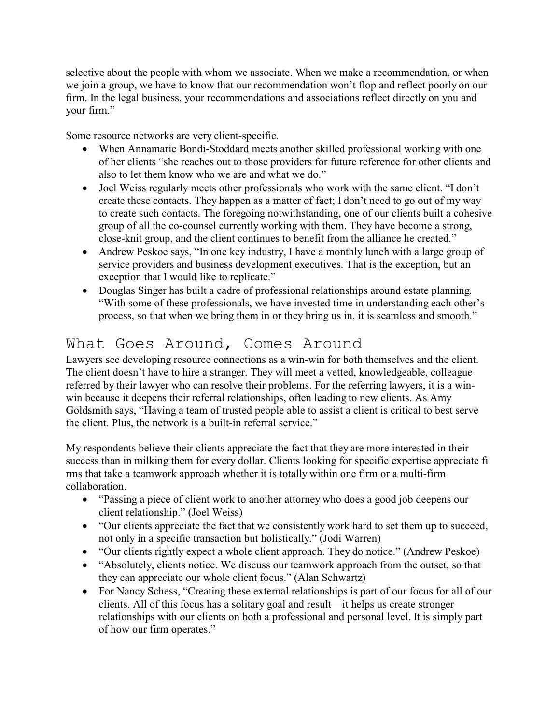selective about the people with whom we associate. When we make a recommendation, or when we join a group, we have to know that our recommendation won't flop and reflect poorly on our firm. In the legal business, your recommendations and associations reflect directly on you and your firm."

Some resource networks are very client-specific.

- · When Annamarie Bondi-Stoddard meets another skilled professional working with one of her clients "she reaches out to those providers for future reference for other clients and also to let them know who we are and what we do."
- Joel Weiss regularly meets other professionals who work with the same client. "I don't create these contacts. They happen as a matter of fact; I don't need to go out of my way to create such contacts. The foregoing notwithstanding, one of our clients built a cohesive group of all the co-counsel currently working with them. They have become a strong, close-knit group, and the client continues to benefit from the alliance he created."
- Andrew Peskoe says, "In one key industry, I have a monthly lunch with a large group of service providers and business development executives. That is the exception, but an exception that I would like to replicate."
- · Douglas Singer has built a cadre of professional relationships around estate planning. "With some of these professionals, we have invested time in understanding each other's process, so that when we bring them in or they bring us in, it is seamless and smooth."

### What Goes Around, Comes Around

Lawyers see developing resource connections as a win-win for both themselves and the client. The client doesn't have to hire a stranger. They will meet a vetted, knowledgeable, colleague referred by their lawyer who can resolve their problems. For the referring lawyers, it is a winwin because it deepens their referral relationships, often leading to new clients. As Amy Goldsmith says, "Having a team of trusted people able to assist a client is critical to best serve the client. Plus, the network is a built-in referral service."

My respondents believe their clients appreciate the fact that they are more interested in their success than in milking them for every dollar. Clients looking for specific expertise appreciate fi rms that take a teamwork approach whether it is totally within one firm or a multi-firm collaboration.

- · "Passing a piece of client work to another attorney who does a good job deepens our client relationship." (Joel Weiss)
- "Our clients appreciate the fact that we consistently work hard to set them up to succeed, not only in a specific transaction but holistically." (Jodi Warren)
- · "Our clients rightly expect a whole client approach. They do notice." (Andrew Peskoe)
- "Absolutely, clients notice. We discuss our teamwork approach from the outset, so that they can appreciate our whole client focus." (Alan Schwartz)
- For Nancy Schess, "Creating these external relationships is part of our focus for all of our clients. All of this focus has a solitary goal and result—it helps us create stronger relationships with our clients on both a professional and personal level. It is simply part of how our firm operates."